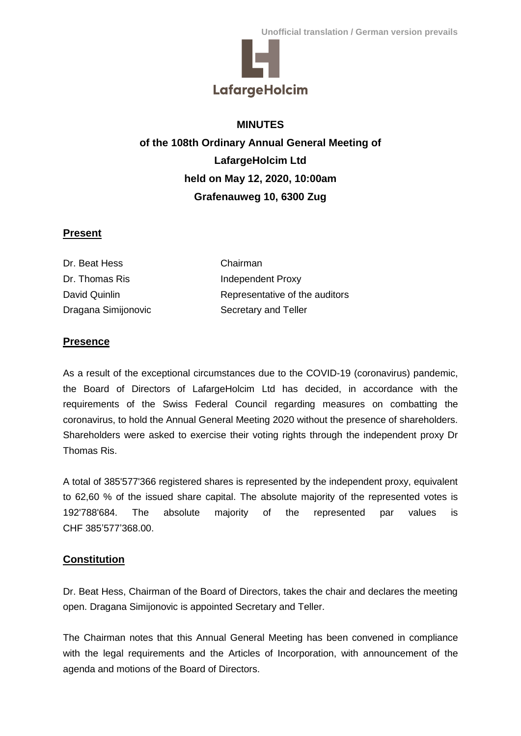

# **MINUTES**

**of the 108th Ordinary Annual General Meeting of LafargeHolcim Ltd held on May 12, 2020, 10:00am Grafenauweg 10, 6300 Zug**

## **Present**

| Dr. Beat Hess       | Chairman                       |
|---------------------|--------------------------------|
| Dr. Thomas Ris      | Independent Proxy              |
| David Quinlin       | Representative of the auditors |
| Dragana Simijonovic | Secretary and Teller           |

# **Presence**

As a result of the exceptional circumstances due to the COVID-19 (coronavirus) pandemic, the Board of Directors of LafargeHolcim Ltd has decided, in accordance with the requirements of the Swiss Federal Council regarding measures on combatting the coronavirus, to hold the Annual General Meeting 2020 without the presence of shareholders. Shareholders were asked to exercise their voting rights through the independent proxy Dr Thomas Ris.

A total of 385'577'366 registered shares is represented by the independent proxy, equivalent to 62,60 % of the issued share capital. The absolute majority of the represented votes is 192'788'684. The absolute majority of the represented par values is CHF 385'577'368.00.

## **Constitution**

Dr. Beat Hess, Chairman of the Board of Directors, takes the chair and declares the meeting open. Dragana Simijonovic is appointed Secretary and Teller.

The Chairman notes that this Annual General Meeting has been convened in compliance with the legal requirements and the Articles of Incorporation, with announcement of the agenda and motions of the Board of Directors.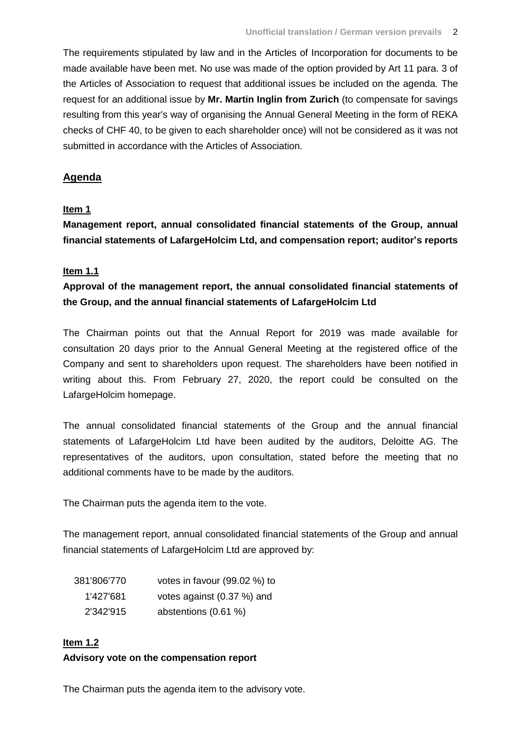The requirements stipulated by law and in the Articles of Incorporation for documents to be made available have been met. No use was made of the option provided by Art 11 para. 3 of the Articles of Association to request that additional issues be included on the agenda. The request for an additional issue by **Mr. Martin Inglin from Zurich** (to compensate for savings resulting from this year's way of organising the Annual General Meeting in the form of REKA checks of CHF 40, to be given to each shareholder once) will not be considered as it was not submitted in accordance with the Articles of Association.

## **Agenda**

## **Item 1**

**Management report, annual consolidated financial statements of the Group, annual financial statements of LafargeHolcim Ltd, and compensation report; auditor's reports**

## **Item 1.1**

**Approval of the management report, the annual consolidated financial statements of the Group, and the annual financial statements of LafargeHolcim Ltd**

The Chairman points out that the Annual Report for 2019 was made available for consultation 20 days prior to the Annual General Meeting at the registered office of the Company and sent to shareholders upon request. The shareholders have been notified in writing about this. From February 27, 2020, the report could be consulted on the LafargeHolcim homepage.

The annual consolidated financial statements of the Group and the annual financial statements of LafargeHolcim Ltd have been audited by the auditors, Deloitte AG. The representatives of the auditors, upon consultation, stated before the meeting that no additional comments have to be made by the auditors.

The Chairman puts the agenda item to the vote.

The management report, annual consolidated financial statements of the Group and annual financial statements of LafargeHolcim Ltd are approved by:

| 381'806'770 | votes in favour (99.02 %) to |
|-------------|------------------------------|
| 1'427'681   | votes against (0.37 %) and   |
| 2'342'915   | abstentions (0.61 %)         |

# **Item 1.2 Advisory vote on the compensation report**

The Chairman puts the agenda item to the advisory vote.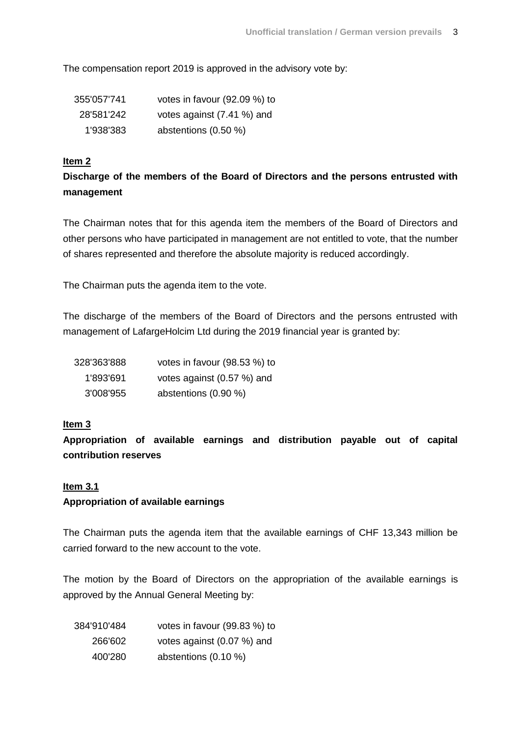The compensation report 2019 is approved in the advisory vote by:

| 355'057'741 | votes in favour (92.09 %) to |
|-------------|------------------------------|
| 28'581'242  | votes against (7.41 %) and   |
| 1'938'383   | abstentions $(0.50\%)$       |

#### **Item 2**

# **Discharge of the members of the Board of Directors and the persons entrusted with management**

The Chairman notes that for this agenda item the members of the Board of Directors and other persons who have participated in management are not entitled to vote, that the number of shares represented and therefore the absolute majority is reduced accordingly.

The Chairman puts the agenda item to the vote.

The discharge of the members of the Board of Directors and the persons entrusted with management of LafargeHolcim Ltd during the 2019 financial year is granted by:

| 328'363'888 | votes in favour (98.53 %) to |
|-------------|------------------------------|
| 1'893'691   | votes against (0.57 %) and   |
| 3'008'955   | abstentions (0.90 %)         |

## **Item 3**

**Appropriation of available earnings and distribution payable out of capital contribution reserves**

#### **Item 3.1**

## **Appropriation of available earnings**

The Chairman puts the agenda item that the available earnings of CHF 13,343 million be carried forward to the new account to the vote.

The motion by the Board of Directors on the appropriation of the available earnings is approved by the Annual General Meeting by:

| 384'910'484 | votes in favour (99.83 %) to |
|-------------|------------------------------|
| 266'602     | votes against (0.07 %) and   |
| 400'280     | abstentions $(0.10\%)$       |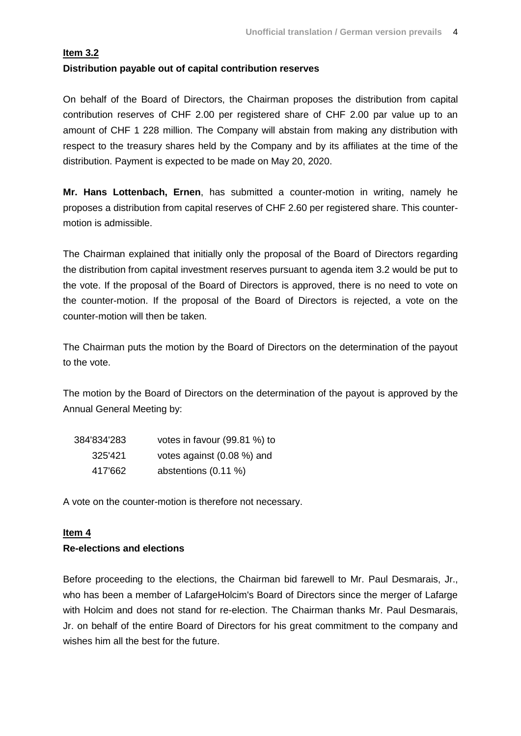## **Item 3.2 Distribution payable out of capital contribution reserves**

On behalf of the Board of Directors, the Chairman proposes the distribution from capital contribution reserves of CHF 2.00 per registered share of CHF 2.00 par value up to an amount of CHF 1 228 million. The Company will abstain from making any distribution with respect to the treasury shares held by the Company and by its affiliates at the time of the distribution. Payment is expected to be made on May 20, 2020.

**Mr. Hans Lottenbach, Ernen**, has submitted a counter-motion in writing, namely he proposes a distribution from capital reserves of CHF 2.60 per registered share. This countermotion is admissible.

The Chairman explained that initially only the proposal of the Board of Directors regarding the distribution from capital investment reserves pursuant to agenda item 3.2 would be put to the vote. If the proposal of the Board of Directors is approved, there is no need to vote on the counter-motion. If the proposal of the Board of Directors is rejected, a vote on the counter-motion will then be taken.

The Chairman puts the motion by the Board of Directors on the determination of the payout to the vote.

The motion by the Board of Directors on the determination of the payout is approved by the Annual General Meeting by:

| 384'834'283 | votes in favour (99.81 %) to |
|-------------|------------------------------|
| 325'421     | votes against (0.08 %) and   |
| 417'662     | abstentions (0.11 %)         |

A vote on the counter-motion is therefore not necessary.

## **Item 4 Re-elections and elections**

Before proceeding to the elections, the Chairman bid farewell to Mr. Paul Desmarais, Jr., who has been a member of LafargeHolcim's Board of Directors since the merger of Lafarge with Holcim and does not stand for re-election. The Chairman thanks Mr. Paul Desmarais, Jr. on behalf of the entire Board of Directors for his great commitment to the company and wishes him all the best for the future.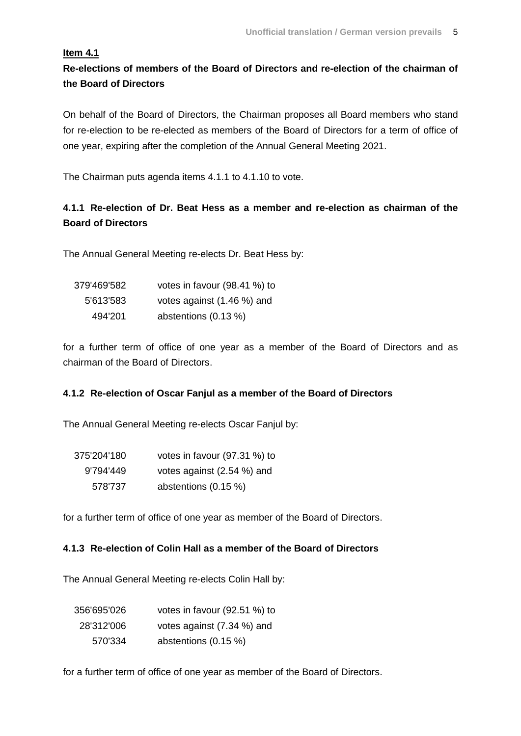## **Item 4.1**

**Re-elections of members of the Board of Directors and re-election of the chairman of the Board of Directors**

On behalf of the Board of Directors, the Chairman proposes all Board members who stand for re-election to be re-elected as members of the Board of Directors for a term of office of one year, expiring after the completion of the Annual General Meeting 2021.

The Chairman puts agenda items 4.1.1 to 4.1.10 to vote.

# **4.1.1 Re-election of Dr. Beat Hess as a member and re-election as chairman of the Board of Directors**

The Annual General Meeting re-elects Dr. Beat Hess by:

| 379'469'582 | votes in favour (98.41 %) to |
|-------------|------------------------------|
| 5'613'583   | votes against (1.46 %) and   |
| 494'201     | abstentions $(0.13 \%)$      |

for a further term of office of one year as a member of the Board of Directors and as chairman of the Board of Directors.

## **4.1.2 Re-election of Oscar Fanjul as a member of the Board of Directors**

The Annual General Meeting re-elects Oscar Fanjul by:

| 375'204'180 | votes in favour (97.31 %) to |
|-------------|------------------------------|
| 9'794'449   | votes against (2.54 %) and   |
| 578'737     | abstentions $(0.15 \%)$      |

for a further term of office of one year as member of the Board of Directors.

#### **4.1.3 Re-election of Colin Hall as a member of the Board of Directors**

The Annual General Meeting re-elects Colin Hall by:

| 356'695'026 | votes in favour (92.51 %) to |
|-------------|------------------------------|
| 28'312'006  | votes against (7.34 %) and   |
| 570'334     | abstentions $(0.15 \%)$      |

for a further term of office of one year as member of the Board of Directors.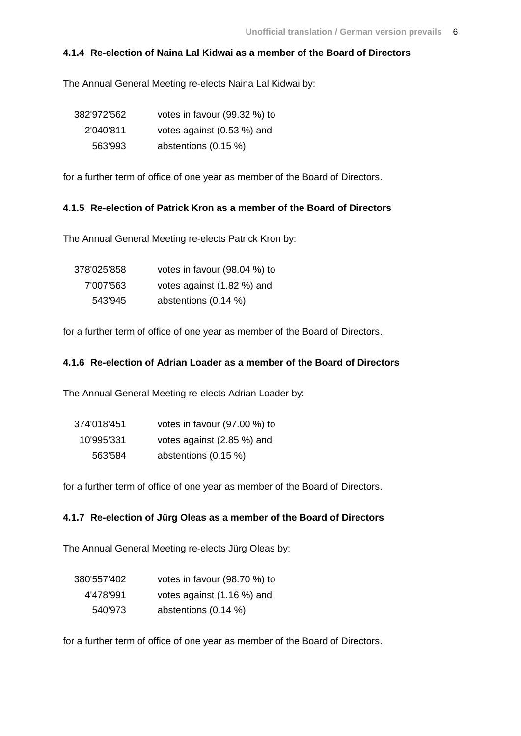### **4.1.4 Re-election of Naina Lal Kidwai as a member of the Board of Directors**

The Annual General Meeting re-elects Naina Lal Kidwai by:

| 382'972'562 | votes in favour (99.32 %) to |
|-------------|------------------------------|
| 2'040'811   | votes against (0.53 %) and   |
| 563'993     | abstentions $(0.15 \%)$      |

for a further term of office of one year as member of the Board of Directors.

### **4.1.5 Re-election of Patrick Kron as a member of the Board of Directors**

The Annual General Meeting re-elects Patrick Kron by:

| 378'025'858 | votes in favour (98.04 %) to |
|-------------|------------------------------|
| 7'007'563   | votes against (1.82 %) and   |
| 543'945     | abstentions $(0.14\%)$       |

for a further term of office of one year as member of the Board of Directors.

## **4.1.6 Re-election of Adrian Loader as a member of the Board of Directors**

The Annual General Meeting re-elects Adrian Loader by:

| 374'018'451 | votes in favour (97.00 %) to |
|-------------|------------------------------|
| 10'995'331  | votes against (2.85 %) and   |
| 563'584     | abstentions $(0.15 \%)$      |

for a further term of office of one year as member of the Board of Directors.

#### **4.1.7 Re-election of Jürg Oleas as a member of the Board of Directors**

The Annual General Meeting re-elects Jürg Oleas by:

| 380'557'402 | votes in favour (98.70 %) to |
|-------------|------------------------------|
| 4'478'991   | votes against (1.16 %) and   |
| 540'973     | abstentions $(0.14\%)$       |

for a further term of office of one year as member of the Board of Directors.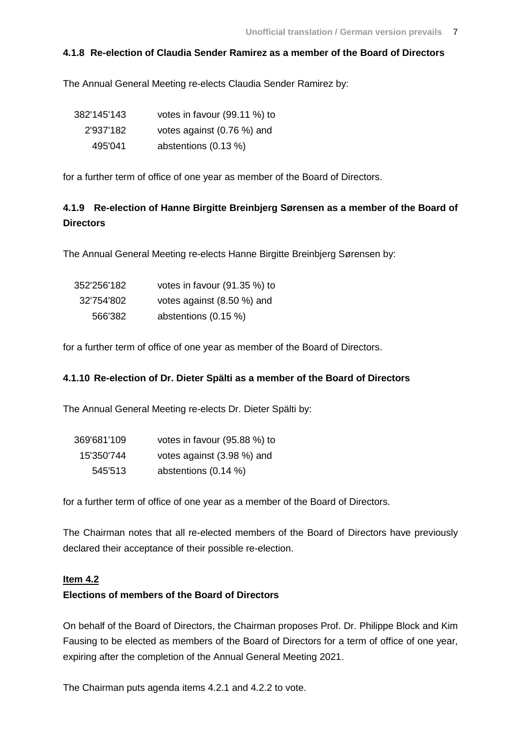### **4.1.8 Re-election of Claudia Sender Ramirez as a member of the Board of Directors**

The Annual General Meeting re-elects Claudia Sender Ramirez by:

| 382'145'143 | votes in favour (99.11 %) to |
|-------------|------------------------------|
| 2'937'182   | votes against (0.76 %) and   |
| 495'041     | abstentions $(0.13 \%)$      |

for a further term of office of one year as member of the Board of Directors.

# **4.1.9 Re-election of Hanne Birgitte Breinbjerg Sørensen as a member of the Board of Directors**

The Annual General Meeting re-elects Hanne Birgitte Breinbjerg Sørensen by:

| 352'256'182 | votes in favour (91.35 %) to |
|-------------|------------------------------|
| 32'754'802  | votes against (8.50 %) and   |
| 566'382     | abstentions $(0.15 \%)$      |

for a further term of office of one year as member of the Board of Directors.

#### **4.1.10 Re-election of Dr. Dieter Spälti as a member of the Board of Directors**

The Annual General Meeting re-elects Dr. Dieter Spälti by:

| 369'681'109 | votes in favour (95.88 %) to |
|-------------|------------------------------|
| 15'350'744  | votes against (3.98 %) and   |
| 545'513     | abstentions (0.14 %)         |

for a further term of office of one year as a member of the Board of Directors.

The Chairman notes that all re-elected members of the Board of Directors have previously declared their acceptance of their possible re-election.

#### **Item 4.2**

### **Elections of members of the Board of Directors**

On behalf of the Board of Directors, the Chairman proposes Prof. Dr. Philippe Block and Kim Fausing to be elected as members of the Board of Directors for a term of office of one year, expiring after the completion of the Annual General Meeting 2021.

The Chairman puts agenda items 4.2.1 and 4.2.2 to vote.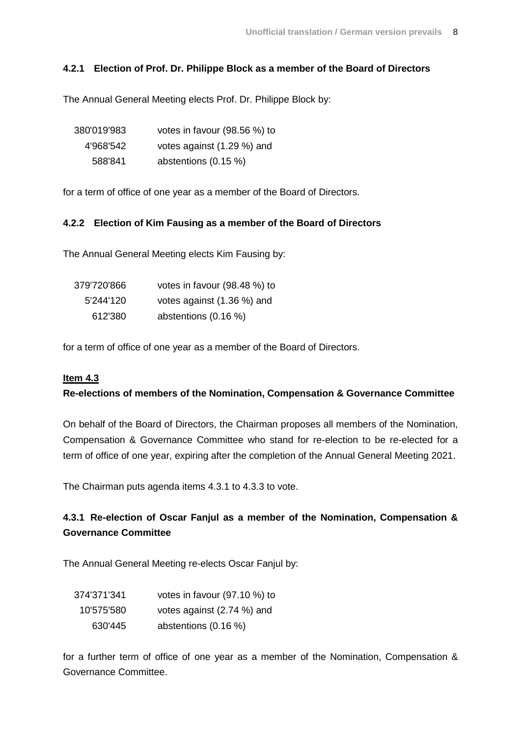#### **4.2.1 Election of Prof. Dr. Philippe Block as a member of the Board of Directors**

The Annual General Meeting elects Prof. Dr. Philippe Block by:

| 380'019'983 | votes in favour (98.56 %) to |
|-------------|------------------------------|
| 4'968'542   | votes against (1.29 %) and   |
| 588'841     | abstentions (0.15 %)         |

for a term of office of one year as a member of the Board of Directors.

#### **4.2.2 Election of Kim Fausing as a member of the Board of Directors**

The Annual General Meeting elects Kim Fausing by:

| 379'720'866 | votes in favour (98.48 %) to |
|-------------|------------------------------|
| 5'244'120   | votes against (1.36 %) and   |
| 612'380     | abstentions (0.16 %)         |

for a term of office of one year as a member of the Board of Directors.

#### **Item 4.3**

#### **Re-elections of members of the Nomination, Compensation & Governance Committee**

On behalf of the Board of Directors, the Chairman proposes all members of the Nomination, Compensation & Governance Committee who stand for re-election to be re-elected for a term of office of one year, expiring after the completion of the Annual General Meeting 2021.

The Chairman puts agenda items 4.3.1 to 4.3.3 to vote.

## **4.3.1 Re-election of Oscar Fanjul as a member of the Nomination, Compensation & Governance Committee**

The Annual General Meeting re-elects Oscar Fanjul by:

| 374'371'341 | votes in favour (97.10 %) to |
|-------------|------------------------------|
| 10'575'580  | votes against (2.74 %) and   |
| 630'445     | abstentions $(0.16 \%)$      |

for a further term of office of one year as a member of the Nomination, Compensation & Governance Committee.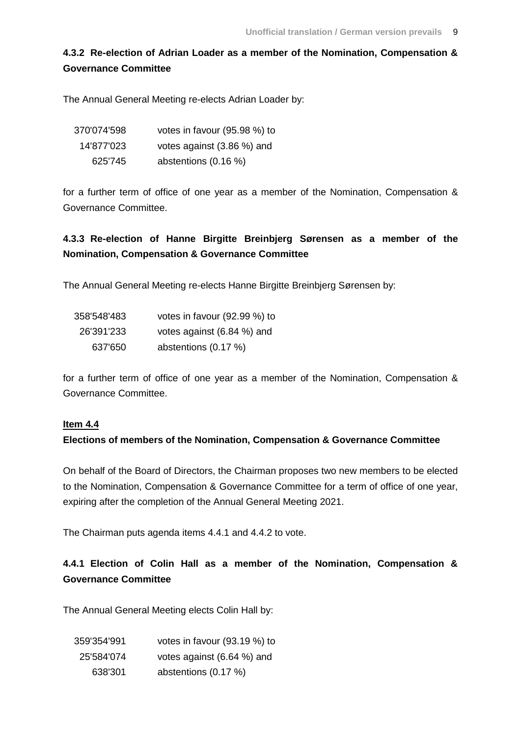# **4.3.2 Re-election of Adrian Loader as a member of the Nomination, Compensation & Governance Committee**

The Annual General Meeting re-elects Adrian Loader by:

| 370'074'598 | votes in favour (95.98 %) to |
|-------------|------------------------------|
| 14'877'023  | votes against (3.86 %) and   |
| 625'745     | abstentions $(0.16\%)$       |

for a further term of office of one year as a member of the Nomination, Compensation & Governance Committee.

# **4.3.3 Re-election of Hanne Birgitte Breinbjerg Sørensen as a member of the Nomination, Compensation & Governance Committee**

The Annual General Meeting re-elects Hanne Birgitte Breinbjerg Sørensen by:

| 358'548'483 | votes in favour (92.99 %) to |
|-------------|------------------------------|
| 26'391'233  | votes against (6.84 %) and   |
| 637'650     | abstentions (0.17 %)         |

for a further term of office of one year as a member of the Nomination, Compensation & Governance Committee.

#### **Item 4.4**

#### **Elections of members of the Nomination, Compensation & Governance Committee**

On behalf of the Board of Directors, the Chairman proposes two new members to be elected to the Nomination, Compensation & Governance Committee for a term of office of one year, expiring after the completion of the Annual General Meeting 2021.

The Chairman puts agenda items 4.4.1 and 4.4.2 to vote.

# **4.4.1 Election of Colin Hall as a member of the Nomination, Compensation & Governance Committee**

The Annual General Meeting elects Colin Hall by:

| 359'354'991 | votes in favour (93.19 %) to |
|-------------|------------------------------|
| 25'584'074  | votes against (6.64 %) and   |
| 638'301     | abstentions (0.17 %)         |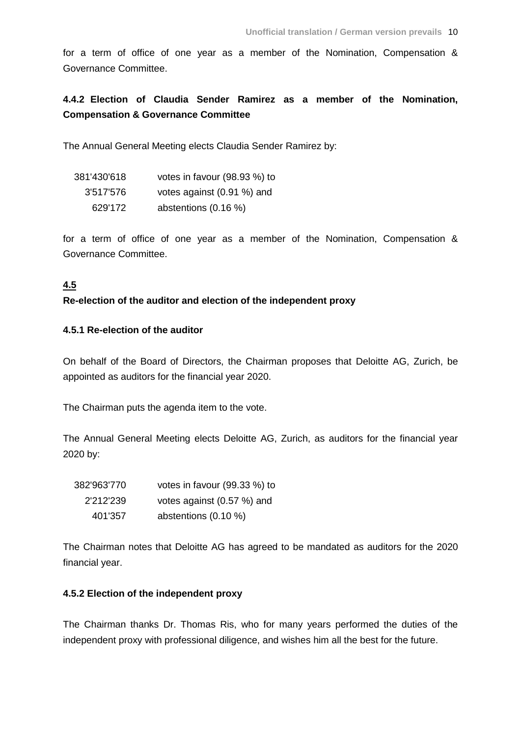for a term of office of one year as a member of the Nomination, Compensation & Governance Committee.

## **4.4.2 Election of Claudia Sender Ramirez as a member of the Nomination, Compensation & Governance Committee**

The Annual General Meeting elects Claudia Sender Ramirez by:

| 381'430'618 | votes in favour (98.93 %) to |
|-------------|------------------------------|
| 3'517'576   | votes against (0.91 %) and   |
| 629'172     | abstentions (0.16 %)         |

for a term of office of one year as a member of the Nomination, Compensation & Governance Committee.

### **4.5**

#### **Re-election of the auditor and election of the independent proxy**

#### **4.5.1 Re-election of the auditor**

On behalf of the Board of Directors, the Chairman proposes that Deloitte AG, Zurich, be appointed as auditors for the financial year 2020.

The Chairman puts the agenda item to the vote.

The Annual General Meeting elects Deloitte AG, Zurich, as auditors for the financial year 2020 by:

| 382'963'770 | votes in favour (99.33 %) to |
|-------------|------------------------------|
| 2'212'239   | votes against (0.57 %) and   |
| 401'357     | abstentions $(0.10 \%)$      |

The Chairman notes that Deloitte AG has agreed to be mandated as auditors for the 2020 financial year.

#### **4.5.2 Election of the independent proxy**

The Chairman thanks Dr. Thomas Ris, who for many years performed the duties of the independent proxy with professional diligence, and wishes him all the best for the future.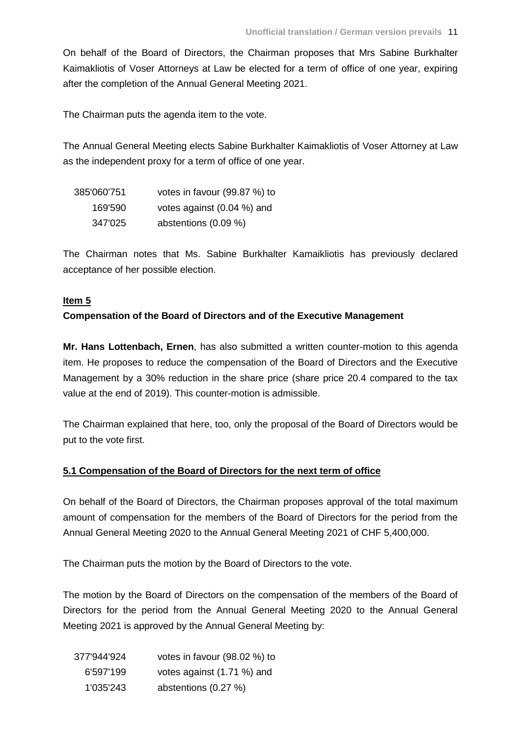On behalf of the Board of Directors, the Chairman proposes that Mrs Sabine Burkhalter Kaimakliotis of Voser Attorneys at Law be elected for a term of office of one year, expiring after the completion of the Annual General Meeting 2021.

The Chairman puts the agenda item to the vote.

The Annual General Meeting elects Sabine Burkhalter Kaimakliotis of Voser Attorney at Law as the independent proxy for a term of office of one year.

| 385'060'751 | votes in favour (99.87 %) to |
|-------------|------------------------------|
| 169'590     | votes against (0.04 %) and   |
| 347'025     | abstentions $(0.09\%)$       |

The Chairman notes that Ms. Sabine Burkhalter Kamaikliotis has previously declared acceptance of her possible election.

#### **Item 5**

### **Compensation of the Board of Directors and of the Executive Management**

**Mr. Hans Lottenbach, Ernen**, has also submitted a written counter-motion to this agenda item. He proposes to reduce the compensation of the Board of Directors and the Executive Management by a 30% reduction in the share price (share price 20.4 compared to the tax value at the end of 2019). This counter-motion is admissible.

The Chairman explained that here, too, only the proposal of the Board of Directors would be put to the vote first.

#### **5.1 Compensation of the Board of Directors for the next term of office**

On behalf of the Board of Directors, the Chairman proposes approval of the total maximum amount of compensation for the members of the Board of Directors for the period from the Annual General Meeting 2020 to the Annual General Meeting 2021 of CHF 5,400,000.

The Chairman puts the motion by the Board of Directors to the vote.

The motion by the Board of Directors on the compensation of the members of the Board of Directors for the period from the Annual General Meeting 2020 to the Annual General Meeting 2021 is approved by the Annual General Meeting by:

| 377'944'924 | votes in favour (98.02 %) to |
|-------------|------------------------------|
| 6'597'199   | votes against (1.71 %) and   |
| 1'035'243   | abstentions (0.27 %)         |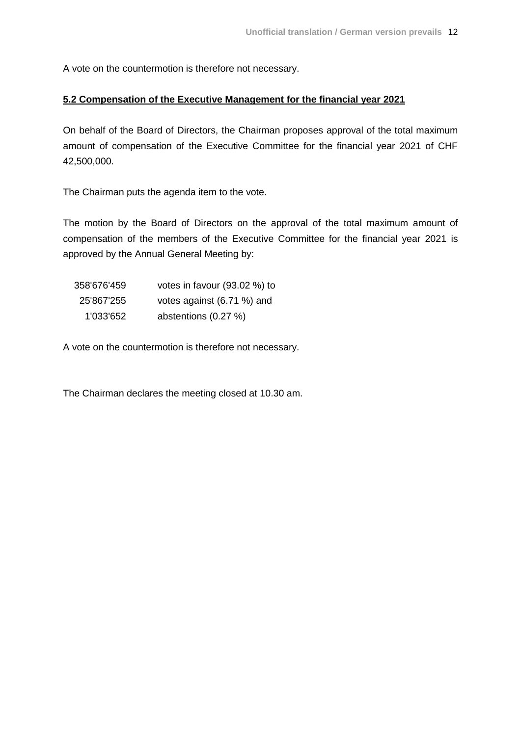A vote on the countermotion is therefore not necessary.

### **5.2 Compensation of the Executive Management for the financial year 2021**

On behalf of the Board of Directors, the Chairman proposes approval of the total maximum amount of compensation of the Executive Committee for the financial year 2021 of CHF 42,500,000.

The Chairman puts the agenda item to the vote.

The motion by the Board of Directors on the approval of the total maximum amount of compensation of the members of the Executive Committee for the financial year 2021 is approved by the Annual General Meeting by:

| 358'676'459 | votes in favour (93.02 %) to |
|-------------|------------------------------|
| 25'867'255  | votes against (6.71 %) and   |
| 1'033'652   | abstentions (0.27 %)         |

A vote on the countermotion is therefore not necessary.

The Chairman declares the meeting closed at 10.30 am.